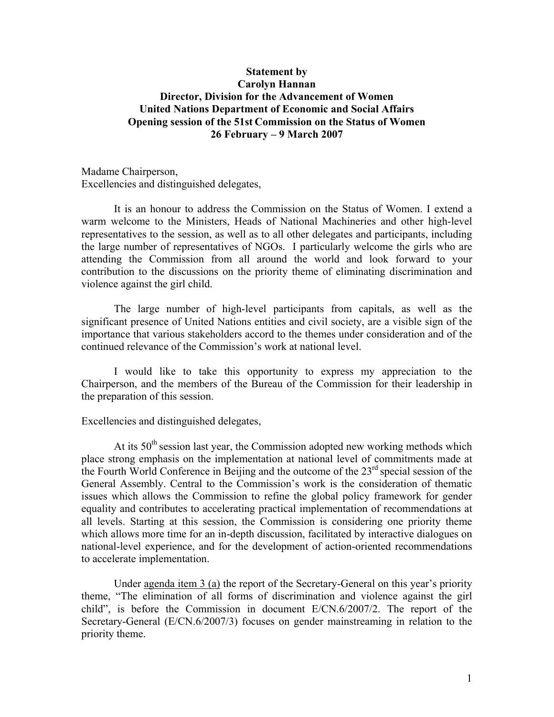## **Statement by Carolyn Hannan Director, Division for the Advancement of Women United Nations Department of Economic and Social Affairs Opening session of the 51st Commission on the Status of Women 26 February – 9 March 2007**

Madame Chairperson, Excellencies and distinguished delegates,

It is an honour to address the Commission on the Status of Women. I extend a warm welcome to the Ministers, Heads of National Machineries and other high-level representatives to the session, as well as to all other delegates and participants, including the large number of representatives of NGOs. I particularly welcome the girls who are attending the Commission from all around the world and look forward to your contribution to the discussions on the priority theme of eliminating discrimination and violence against the girl child.

The large number of high-level participants from capitals, as well as the significant presence of United Nations entities and civil society, are a visible sign of the importance that various stakeholders accord to the themes under consideration and of the continued relevance of the Commission's work at national level.

I would like to take this opportunity to express my appreciation to the Chairperson, and the members of the Bureau of the Commission for their leadership in the preparation of this session.

Excellencies and distinguished delegates,

At its  $50<sup>th</sup>$  session last year, the Commission adopted new working methods which place strong emphasis on the implementation at national level of commitments made at the Fourth World Conference in Beijing and the outcome of the 23<sup>rd</sup> special session of the General Assembly. Central to the Commission's work is the consideration of thematic issues which allows the Commission to refine the global policy framework for gender equality and contributes to accelerating practical implementation of recommendations at all levels. Starting at this session, the Commission is considering one priority theme which allows more time for an in-depth discussion, facilitated by interactive dialogues on national-level experience, and for the development of action-oriented recommendations to accelerate implementation.

Under agenda item 3 (a) the report of the Secretary-General on this year's priority theme, "The elimination of all forms of discrimination and violence against the girl child", is before the Commission in document  $E/CN.6/2007/2$ . The report of the Secretary-General (E/CN.6/2007/3) focuses on gender mainstreaming in relation to the priority theme.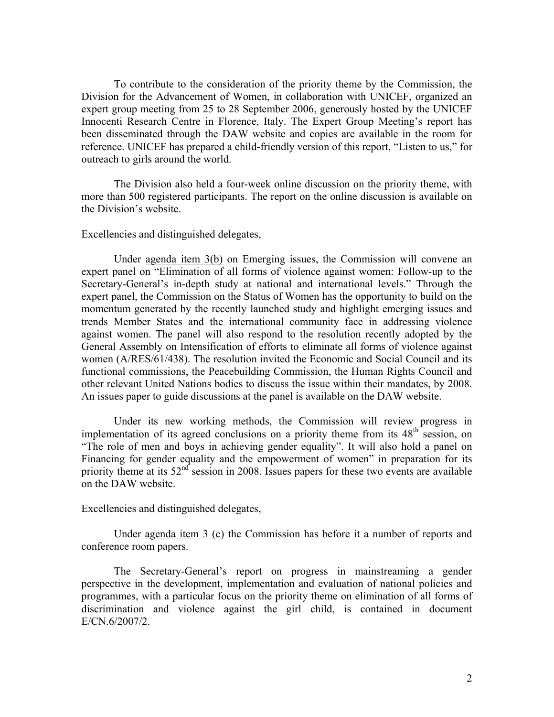To contribute to the consideration of the priority theme by the Commission, the Division for the Advancement of Women, in collaboration with UNICEF, organized an expert group meeting from 25 to 28 September 2006, generously hosted by the UNICEF Innocenti Research Centre in Florence, Italy. The Expert Group Meeting's report has been disseminated through the DAW website and copies are available in the room for reference. UNICEF has prepared a child-friendly version of this report, "Listen to us," for outreach to girls around the world.

The Division also held a four-week online discussion on the priority theme, with more than 500 registered participants. The report on the online discussion is available on the Division's website.

Excellencies and distinguished delegates,

Under agenda item 3(b) on Emerging issues, the Commission will convene an expert panel on "Elimination of all forms of violence against women: Follow-up to the Secretary-General's in-depth study at national and international levels." Through the expert panel, the Commission on the Status of Women has the opportunity to build on the momentum generated by the recently launched study and highlight emerging issues and trends Member States and the international community face in addressing violence against women. The panel will also respond to the resolution recently adopted by the General Assembly on Intensification of efforts to eliminate all forms of violence against women (A/RES/61/438). The resolution invited the Economic and Social Council and its functional commissions, the Peacebuilding Commission, the Human Rights Council and other relevant United Nations bodies to discuss the issue within their mandates, by 2008. An issues paper to guide discussions at the panel is available on the DAW website.

Under its new working methods, the Commission will review progress in implementation of its agreed conclusions on a priority theme from its  $48<sup>th</sup>$  session, on "The role of men and boys in achieving gender equality". It will also hold a panel on Financing for gender equality and the empowerment of women" in preparation for its priority theme at its  $52<sup>nd</sup>$  session in 2008. Issues papers for these two events are available on the DAW website.

Excellencies and distinguished delegates,

Under agenda item 3 (c) the Commission has before it a number of reports and conference room papers.

The Secretary-General's report on progress in mainstreaming a gender perspective in the development, implementation and evaluation of national policies and programmes, with a particular focus on the priority theme on elimination of all forms of discrimination and violence against the girl child, is contained in document E/CN.6/2007/2.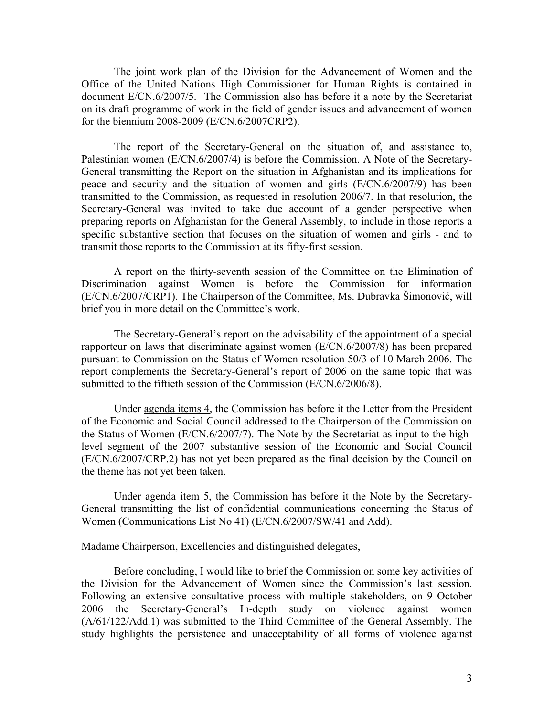The joint work plan of the Division for the Advancement of Women and the Office of the United Nations High Commissioner for Human Rights is contained in document E/CN.6/2007/5. The Commission also has before it a note by the Secretariat on its draft programme of work in the field of gender issues and advancement of women for the biennium 2008-2009 (E/CN.6/2007CRP2).

The report of the Secretary-General on the situation of, and assistance to, Palestinian women (E/CN.6/2007/4) is before the Commission. A Note of the Secretary-General transmitting the Report on the situation in Afghanistan and its implications for peace and security and the situation of women and girls (E/CN.6/2007/9) has been transmitted to the Commission, as requested in resolution 2006/7. In that resolution, the Secretary-General was invited to take due account of a gender perspective when preparing reports on Afghanistan for the General Assembly, to include in those reports a specific substantive section that focuses on the situation of women and girls - and to transmit those reports to the Commission at its fifty-first session.

A report on the thirty-seventh session of the Committee on the Elimination of Discrimination against Women is before the Commission for information (E/CN.6/2007/CRP1). The Chairperson of the Committee, Ms. Dubravka Šimonović, will brief you in more detail on the Committee's work.

The Secretary-General's report on the advisability of the appointment of a special rapporteur on laws that discriminate against women (E/CN.6/2007/8) has been prepared pursuant to Commission on the Status of Women resolution 50/3 of 10 March 2006. The report complements the Secretary-General's report of 2006 on the same topic that was submitted to the fiftieth session of the Commission (E/CN.6/2006/8).

Under agenda items 4, the Commission has before it the Letter from the President of the Economic and Social Council addressed to the Chairperson of the Commission on the Status of Women (E/CN.6/2007/7). The Note by the Secretariat as input to the highlevel segment of the 2007 substantive session of the Economic and Social Council (E/CN.6/2007/CRP.2) has not yet been prepared as the final decision by the Council on the theme has not yet been taken.

Under agenda item 5, the Commission has before it the Note by the Secretary-General transmitting the list of confidential communications concerning the Status of Women (Communications List No 41) (E/CN.6/2007/SW/41 and Add).

Madame Chairperson, Excellencies and distinguished delegates,

Before concluding, I would like to brief the Commission on some key activities of the Division for the Advancement of Women since the Commission's last session. Following an extensive consultative process with multiple stakeholders, on 9 October 2006 the Secretary-General's In-depth study on violence against women (A/61/122/Add.1) was submitted to the Third Committee of the General Assembly. The study highlights the persistence and unacceptability of all forms of violence against